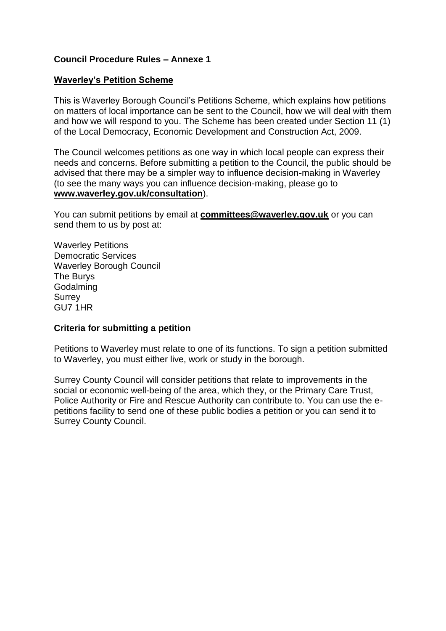### **Council Procedure Rules – Annexe 1**

#### **Waverley's Petition Scheme**

This is Waverley Borough Council's Petitions Scheme, which explains how petitions on matters of local importance can be sent to the Council, how we will deal with them and how we will respond to you. The Scheme has been created under Section 11 (1) of the Local Democracy, Economic Development and Construction Act, 2009.

The Council welcomes petitions as one way in which local people can express their needs and concerns. Before submitting a petition to the Council, the public should be advised that there may be a simpler way to influence decision-making in Waverley (to see the many ways you can influence decision-making, please go to **www.waverley.gov.uk/consultation**).

You can submit petitions by email at **committees@waverley.gov.uk** or you can send them to us by post at:

Waverley Petitions Democratic Services Waverley Borough Council The Burys Godalming **Surrey** GU7 1HR

### **Criteria for submitting a petition**

Petitions to Waverley must relate to one of its functions. To sign a petition submitted to Waverley, you must either live, work or study in the borough.

Surrey County Council will consider petitions that relate to improvements in the social or economic well-being of the area, which they, or the Primary Care Trust, Police Authority or Fire and Rescue Authority can contribute to. You can use the epetitions facility to send one of these public bodies a petition or you can send it to Surrey County Council.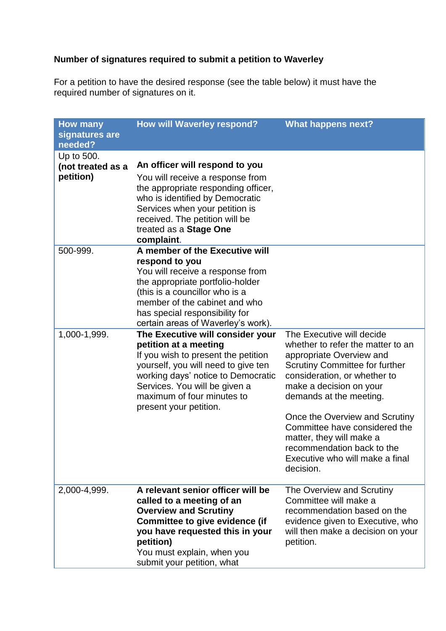# **Number of signatures required to submit a petition to Waverley**

For a petition to have the desired response (see the table below) it must have the required number of signatures on it.

| <b>How many</b>           | <b>How will Waverley respond?</b>                                      | <b>What happens next?</b>                                     |
|---------------------------|------------------------------------------------------------------------|---------------------------------------------------------------|
| signatures are<br>needed? |                                                                        |                                                               |
| Up to 500.                |                                                                        |                                                               |
| (not treated as a         | An officer will respond to you                                         |                                                               |
| petition)                 | You will receive a response from                                       |                                                               |
|                           | the appropriate responding officer,                                    |                                                               |
|                           | who is identified by Democratic<br>Services when your petition is      |                                                               |
|                           | received. The petition will be                                         |                                                               |
|                           | treated as a Stage One                                                 |                                                               |
|                           | complaint.                                                             |                                                               |
| 500-999.                  | A member of the Executive will                                         |                                                               |
|                           | respond to you<br>You will receive a response from                     |                                                               |
|                           | the appropriate portfolio-holder                                       |                                                               |
|                           | (this is a councillor who is a                                         |                                                               |
|                           | member of the cabinet and who                                          |                                                               |
|                           | has special responsibility for                                         |                                                               |
| 1,000-1,999.              | certain areas of Waverley's work).<br>The Executive will consider your | The Executive will decide                                     |
|                           | petition at a meeting                                                  | whether to refer the matter to an                             |
|                           | If you wish to present the petition                                    | appropriate Overview and                                      |
|                           | yourself, you will need to give ten                                    | <b>Scrutiny Committee for further</b>                         |
|                           | working days' notice to Democratic                                     | consideration, or whether to                                  |
|                           | Services. You will be given a<br>maximum of four minutes to            | make a decision on your<br>demands at the meeting.            |
|                           | present your petition.                                                 |                                                               |
|                           |                                                                        | Once the Overview and Scrutiny                                |
|                           |                                                                        | Committee have considered the                                 |
|                           |                                                                        | matter, they will make a                                      |
|                           |                                                                        | recommendation back to the<br>Executive who will make a final |
|                           |                                                                        | decision.                                                     |
|                           |                                                                        |                                                               |
| 2,000-4,999.              | A relevant senior officer will be                                      | The Overview and Scrutiny                                     |
|                           | called to a meeting of an<br><b>Overview and Scrutiny</b>              | Committee will make a<br>recommendation based on the          |
|                           | <b>Committee to give evidence (if</b>                                  | evidence given to Executive, who                              |
|                           | you have requested this in your                                        | will then make a decision on your                             |
|                           | petition)                                                              | petition.                                                     |
|                           | You must explain, when you                                             |                                                               |
|                           | submit your petition, what                                             |                                                               |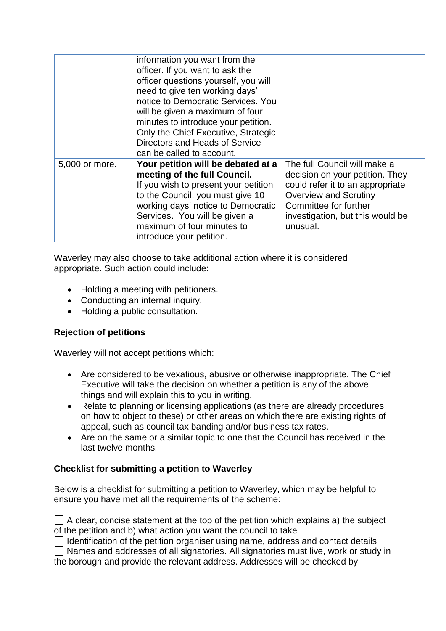|                | information you want from the<br>officer. If you want to ask the<br>officer questions yourself, you will<br>need to give ten working days'<br>notice to Democratic Services. You<br>will be given a maximum of four<br>minutes to introduce your petition.<br>Only the Chief Executive, Strategic<br>Directors and Heads of Service<br>can be called to account. |                                                                                                                                                                                                              |
|----------------|------------------------------------------------------------------------------------------------------------------------------------------------------------------------------------------------------------------------------------------------------------------------------------------------------------------------------------------------------------------|--------------------------------------------------------------------------------------------------------------------------------------------------------------------------------------------------------------|
| 5,000 or more. | Your petition will be debated at a<br>meeting of the full Council.<br>If you wish to present your petition<br>to the Council, you must give 10<br>working days' notice to Democratic<br>Services. You will be given a<br>maximum of four minutes to<br>introduce your petition.                                                                                  | The full Council will make a<br>decision on your petition. They<br>could refer it to an appropriate<br><b>Overview and Scrutiny</b><br>Committee for further<br>investigation, but this would be<br>unusual. |

Waverley may also choose to take additional action where it is considered appropriate. Such action could include:

- Holding a meeting with petitioners.
- Conducting an internal inquiry.
- Holding a public consultation.

## **Rejection of petitions**

Waverley will not accept petitions which:

- Are considered to be vexatious, abusive or otherwise inappropriate. The Chief Executive will take the decision on whether a petition is any of the above things and will explain this to you in writing.
- Relate to planning or licensing applications (as there are already procedures on how to object to these) or other areas on which there are existing rights of appeal, such as council tax banding and/or business tax rates.
- Are on the same or a similar topic to one that the Council has received in the last twelve months.

### **Checklist for submitting a petition to Waverley**

Below is a checklist for submitting a petition to Waverley, which may be helpful to ensure you have met all the requirements of the scheme:

| $\Box$ A clear, concise statement at the top of the petition which explains a) the subject |  |
|--------------------------------------------------------------------------------------------|--|
| of the petition and b) what action you want the council to take                            |  |

 $\Box$  Identification of the petition organiser using name, address and contact details

Names and addresses of all signatories. All signatories must live, work or study in the borough and provide the relevant address. Addresses will be checked by